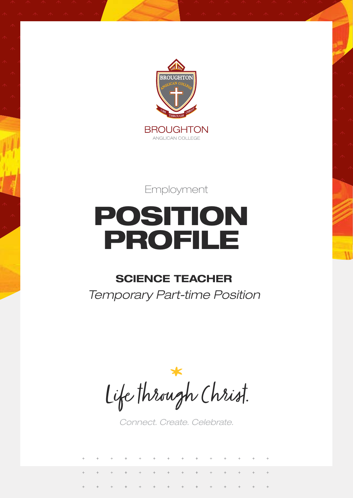

Employment

# POSITION PROFILE

# **SCIENCE TEACHER**

*Temporary Part-time Position*

Life through Christ.

*Connect. Create. Celebrate.*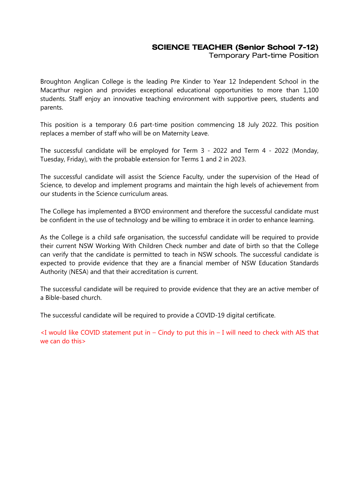### SCIENCE TEACHER (Senior School 7-12)

Temporary Part-time Position

Broughton Anglican College is the leading Pre Kinder to Year 12 Independent School in the Macarthur region and provides exceptional educational opportunities to more than 1,100 students. Staff enjoy an innovative teaching environment with supportive peers, students and parents.

This position is a temporary 0.6 part-time position commencing 18 July 2022. This position replaces a member of staff who will be on Maternity Leave.

The successful candidate will be employed for Term 3 - 2022 and Term 4 - 2022 (Monday, Tuesday, Friday), with the probable extension for Terms 1 and 2 in 2023.

The successful candidate will assist the Science Faculty, under the supervision of the Head of Science, to develop and implement programs and maintain the high levels of achievement from our students in the Science curriculum areas.

The College has implemented a BYOD environment and therefore the successful candidate must be confident in the use of technology and be willing to embrace it in order to enhance learning.

As the College is a child safe organisation, the successful candidate will be required to provide their current NSW Working With Children Check number and date of birth so that the College can verify that the candidate is permitted to teach in NSW schools. The successful candidate is expected to provide evidence that they are a financial member of NSW Education Standards Authority (NESA) and that their accreditation is current.

The successful candidate will be required to provide evidence that they are an active member of a Bible-based church.

The successful candidate will be required to provide a COVID-19 digital certificate.

 $\leq$ I would like COVID statement put in – Cindy to put this in – I will need to check with AIS that we can do this>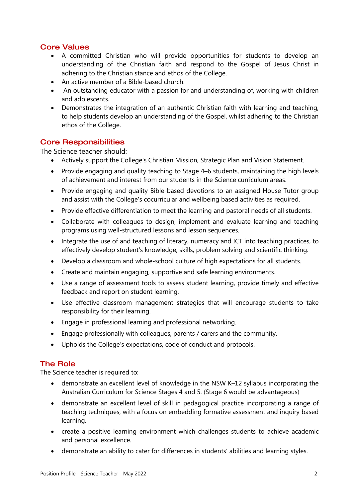### Core Values

- A committed Christian who will provide opportunities for students to develop an understanding of the Christian faith and respond to the Gospel of Jesus Christ in adhering to the Christian stance and ethos of the College.
- An active member of a Bible-based church.
- An outstanding educator with a passion for and understanding of, working with children and adolescents.
- Demonstrates the integration of an authentic Christian faith with learning and teaching, to help students develop an understanding of the Gospel, whilst adhering to the Christian ethos of the College.

#### Core Responsibilities

The Science teacher should:

- Actively support the College's Christian Mission, Strategic Plan and Vision Statement.
- Provide engaging and quality teaching to Stage 4–6 students, maintaining the high levels of achievement and interest from our students in the Science curriculum areas.
- Provide engaging and quality Bible-based devotions to an assigned House Tutor group and assist with the College's cocurricular and wellbeing based activities as required.
- Provide effective differentiation to meet the learning and pastoral needs of all students.
- Collaborate with colleagues to design, implement and evaluate learning and teaching programs using well-structured lessons and lesson sequences.
- Integrate the use of and teaching of literacy, numeracy and ICT into teaching practices, to effectively develop student's knowledge, skills, problem solving and scientific thinking.
- Develop a classroom and whole-school culture of high expectations for all students.
- Create and maintain engaging, supportive and safe learning environments.
- Use a range of assessment tools to assess student learning, provide timely and effective feedback and report on student learning.
- Use effective classroom management strategies that will encourage students to take responsibility for their learning.
- Engage in professional learning and professional networking.
- Engage professionally with colleagues, parents / carers and the community.
- Upholds the College's expectations, code of conduct and protocols.

#### The Role

The Science teacher is required to:

- demonstrate an excellent level of knowledge in the NSW K–12 syllabus incorporating the Australian Curriculum for Science Stages 4 and 5. (Stage 6 would be advantageous)
- demonstrate an excellent level of skill in pedagogical practice incorporating a range of teaching techniques, with a focus on embedding formative assessment and inquiry based learning.
- create a positive learning environment which challenges students to achieve academic and personal excellence.
- demonstrate an ability to cater for differences in students' abilities and learning styles.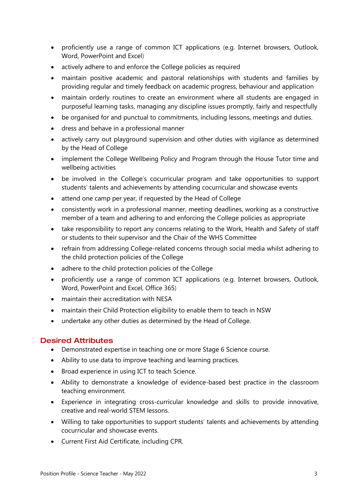- proficiently use a range of common ICT applications (e.g. Internet browsers, Outlook, Word, PowerPoint and Excel)
- actively adhere to and enforce the College policies as required
- maintain positive academic and pastoral relationships with students and families by providing regular and timely feedback on academic progress, behaviour and application
- maintain orderly routines to create an environment where all students are engaged in purposeful learning tasks, managing any discipline issues promptly, fairly and respectfully
- be organised for and punctual to commitments, including lessons, meetings and duties.
- dress and behave in a professional manner
- actively carry out playground supervision and other duties with vigilance as determined by the Head of College
- implement the College Wellbeing Policy and Program through the House Tutor time and wellbeing activities
- be involved in the College's cocurricular program and take opportunities to support students' talents and achievements by attending cocurricular and showcase events
- attend one camp per year, if requested by the Head of College
- consistently work in a professional manner, meeting deadlines, working as a constructive member of a team and adhering to and enforcing the College policies as appropriate
- take responsibility to report any concerns relating to the Work, Health and Safety of staff or students to their supervisor and the Chair of the WHS Committee
- refrain from addressing College-related concerns through social media whilst adhering to the child protection policies of the College
- adhere to the child protection policies of the College
- proficiently use a range of common ICT applications (e.g. Internet browsers, Outlook, Word, PowerPoint and Excel, Office 365)
- maintain their accreditation with NESA
- maintain their Child Protection eligibility to enable them to teach in NSW
- undertake any other duties as determined by the Head of College.

#### Desired Attributes

- Demonstrated expertise in teaching one or more Stage 6 Science course.
- Ability to use data to improve teaching and learning practices.
- Broad experience in using ICT to teach Science.
- Ability to demonstrate a knowledge of evidence-based best practice in the classroom teaching environment.
- Experience in integrating cross-curricular knowledge and skills to provide innovative, creative and real-world STEM lessons.
- Willing to take opportunities to support students' talents and achievements by attending cocurricular and showcase events.
- Current First Aid Certificate, including CPR.